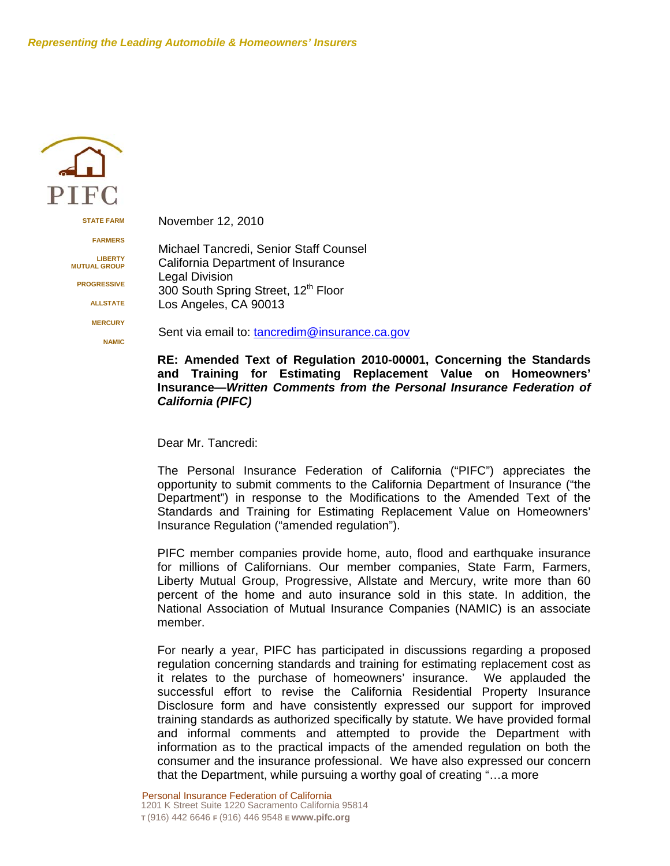

**STATE FARM**

**FARMERS**

**LIBERTY MUTUAL GROUP**

**PROGRESSIVE**

**ALLSTATE**

**MERCURY NAMIC** November 12, 2010

 Michael Tancredi, Senior Staff Counsel California Department of Insurance Legal Division 300 South Spring Street, 12<sup>th</sup> Floor Los Angeles, CA 90013

Sent via email to: tancredim@insurance.ca.gov

#### **RE: Amended Text of Regulation 2010-00001, Concerning the Standards and Training for Estimating Replacement Value on Homeowners' Insurance—***Written Comments from the Personal Insurance Federation of California (PIFC)*

Dear Mr. Tancredi:

The Personal Insurance Federation of California ("PIFC") appreciates the opportunity to submit comments to the California Department of Insurance ("the Department") in response to the Modifications to the Amended Text of the Standards and Training for Estimating Replacement Value on Homeowners' Insurance Regulation ("amended regulation").

PIFC member companies provide home, auto, flood and earthquake insurance for millions of Californians. Our member companies, State Farm, Farmers, Liberty Mutual Group, Progressive, Allstate and Mercury, write more than 60 percent of the home and auto insurance sold in this state. In addition, the National Association of Mutual Insurance Companies (NAMIC) is an associate member.

For nearly a year, PIFC has participated in discussions regarding a proposed regulation concerning standards and training for estimating replacement cost as it relates to the purchase of homeowners' insurance. We applauded the successful effort to revise the California Residential Property Insurance Disclosure form and have consistently expressed our support for improved training standards as authorized specifically by statute. We have provided formal and informal comments and attempted to provide the Department with information as to the practical impacts of the amended regulation on both the consumer and the insurance professional. We have also expressed our concern that the Department, while pursuing a worthy goal of creating "…a more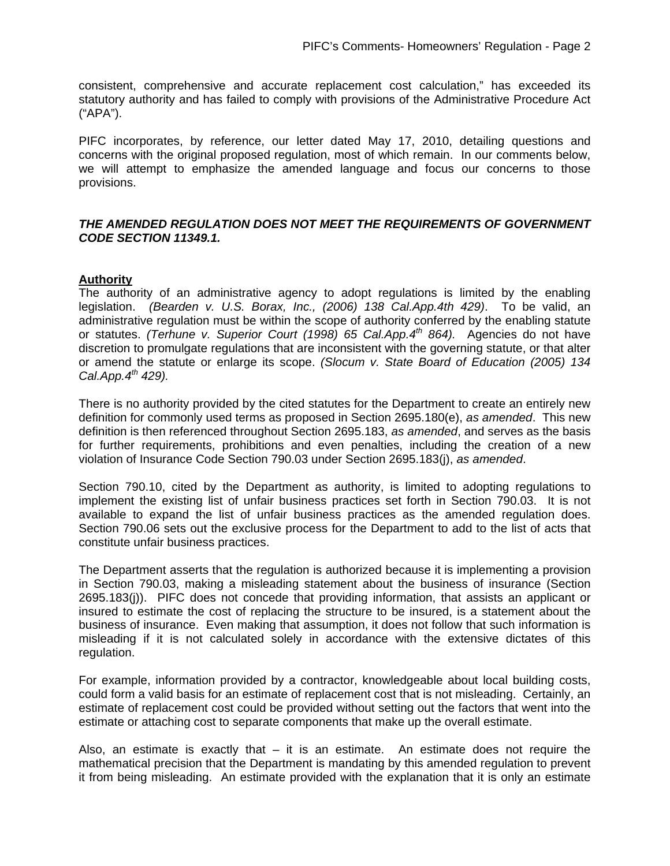consistent, comprehensive and accurate replacement cost calculation," has exceeded its statutory authority and has failed to comply with provisions of the Administrative Procedure Act ("APA").

PIFC incorporates, by reference, our letter dated May 17, 2010, detailing questions and concerns with the original proposed regulation, most of which remain. In our comments below, we will attempt to emphasize the amended language and focus our concerns to those provisions.

### *THE AMENDED REGULATION DOES NOT MEET THE REQUIREMENTS OF GOVERNMENT CODE SECTION 11349.1.*

### **Authority**

The authority of an administrative agency to adopt regulations is limited by the enabling legislation. *(Bearden v. U.S. Borax, Inc., (2006) 138 Cal.App.4th 429)*. To be valid, an administrative regulation must be within the scope of authority conferred by the enabling statute or statutes. *(Terhune v. Superior Court (1998) 65 Cal.App.4th 864).* Agencies do not have discretion to promulgate regulations that are inconsistent with the governing statute, or that alter or amend the statute or enlarge its scope. *(Slocum v. State Board of Education (2005) 134 Cal.App.4th 429).* 

There is no authority provided by the cited statutes for the Department to create an entirely new definition for commonly used terms as proposed in Section 2695.180(e), *as amended*. This new definition is then referenced throughout Section 2695.183, *as amended*, and serves as the basis for further requirements, prohibitions and even penalties, including the creation of a new violation of Insurance Code Section 790.03 under Section 2695.183(j), *as amended*.

Section 790.10, cited by the Department as authority, is limited to adopting regulations to implement the existing list of unfair business practices set forth in Section 790.03. It is not available to expand the list of unfair business practices as the amended regulation does. Section 790.06 sets out the exclusive process for the Department to add to the list of acts that constitute unfair business practices.

The Department asserts that the regulation is authorized because it is implementing a provision in Section 790.03, making a misleading statement about the business of insurance (Section 2695.183(j)). PIFC does not concede that providing information, that assists an applicant or insured to estimate the cost of replacing the structure to be insured, is a statement about the business of insurance. Even making that assumption, it does not follow that such information is misleading if it is not calculated solely in accordance with the extensive dictates of this regulation.

For example, information provided by a contractor, knowledgeable about local building costs, could form a valid basis for an estimate of replacement cost that is not misleading. Certainly, an estimate of replacement cost could be provided without setting out the factors that went into the estimate or attaching cost to separate components that make up the overall estimate.

Also, an estimate is exactly that  $-$  it is an estimate. An estimate does not require the mathematical precision that the Department is mandating by this amended regulation to prevent it from being misleading. An estimate provided with the explanation that it is only an estimate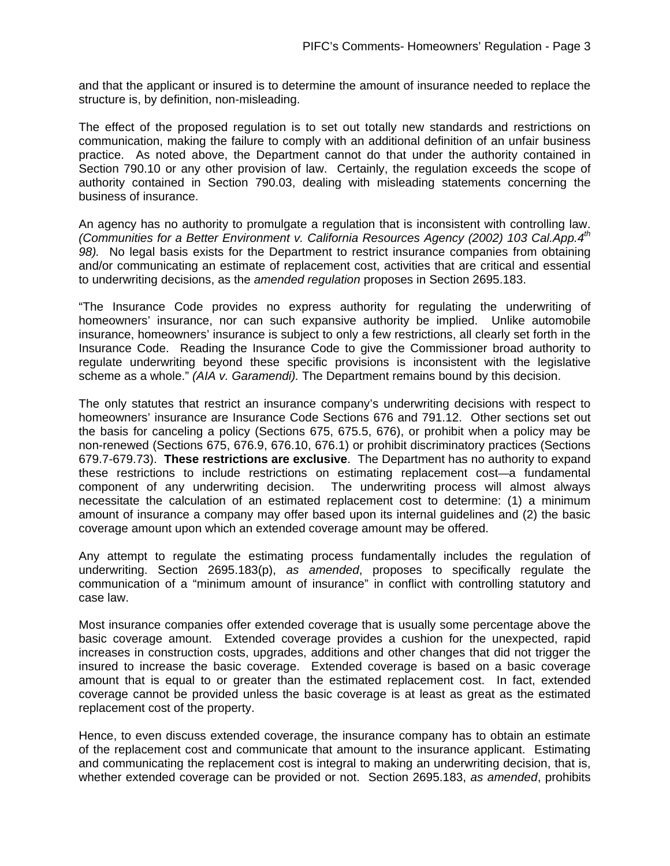and that the applicant or insured is to determine the amount of insurance needed to replace the structure is, by definition, non-misleading.

The effect of the proposed regulation is to set out totally new standards and restrictions on communication, making the failure to comply with an additional definition of an unfair business practice. As noted above, the Department cannot do that under the authority contained in Section 790.10 or any other provision of law. Certainly, the regulation exceeds the scope of authority contained in Section 790.03, dealing with misleading statements concerning the business of insurance.

An agency has no authority to promulgate a regulation that is inconsistent with controlling law. *(Communities for a Better Environment v. California Resources Agency (2002) 103 Cal.App.4th 98).* No legal basis exists for the Department to restrict insurance companies from obtaining and/or communicating an estimate of replacement cost, activities that are critical and essential to underwriting decisions, as the *amended regulation* proposes in Section 2695.183.

"The Insurance Code provides no express authority for regulating the underwriting of homeowners' insurance, nor can such expansive authority be implied. Unlike automobile insurance, homeowners' insurance is subject to only a few restrictions, all clearly set forth in the Insurance Code. Reading the Insurance Code to give the Commissioner broad authority to regulate underwriting beyond these specific provisions is inconsistent with the legislative scheme as a whole." *(AIA v. Garamendi).* The Department remains bound by this decision.

The only statutes that restrict an insurance company's underwriting decisions with respect to homeowners' insurance are Insurance Code Sections 676 and 791.12. Other sections set out the basis for canceling a policy (Sections 675, 675.5, 676), or prohibit when a policy may be non-renewed (Sections 675, 676.9, 676.10, 676.1) or prohibit discriminatory practices (Sections 679.7-679.73). **These restrictions are exclusive**. The Department has no authority to expand these restrictions to include restrictions on estimating replacement cost—a fundamental component of any underwriting decision. The underwriting process will almost always necessitate the calculation of an estimated replacement cost to determine: (1) a minimum amount of insurance a company may offer based upon its internal guidelines and (2) the basic coverage amount upon which an extended coverage amount may be offered.

Any attempt to regulate the estimating process fundamentally includes the regulation of underwriting. Section 2695.183(p), *as amended*, proposes to specifically regulate the communication of a "minimum amount of insurance" in conflict with controlling statutory and case law.

Most insurance companies offer extended coverage that is usually some percentage above the basic coverage amount. Extended coverage provides a cushion for the unexpected, rapid increases in construction costs, upgrades, additions and other changes that did not trigger the insured to increase the basic coverage. Extended coverage is based on a basic coverage amount that is equal to or greater than the estimated replacement cost. In fact, extended coverage cannot be provided unless the basic coverage is at least as great as the estimated replacement cost of the property.

Hence, to even discuss extended coverage, the insurance company has to obtain an estimate of the replacement cost and communicate that amount to the insurance applicant. Estimating and communicating the replacement cost is integral to making an underwriting decision, that is, whether extended coverage can be provided or not. Section 2695.183, *as amended*, prohibits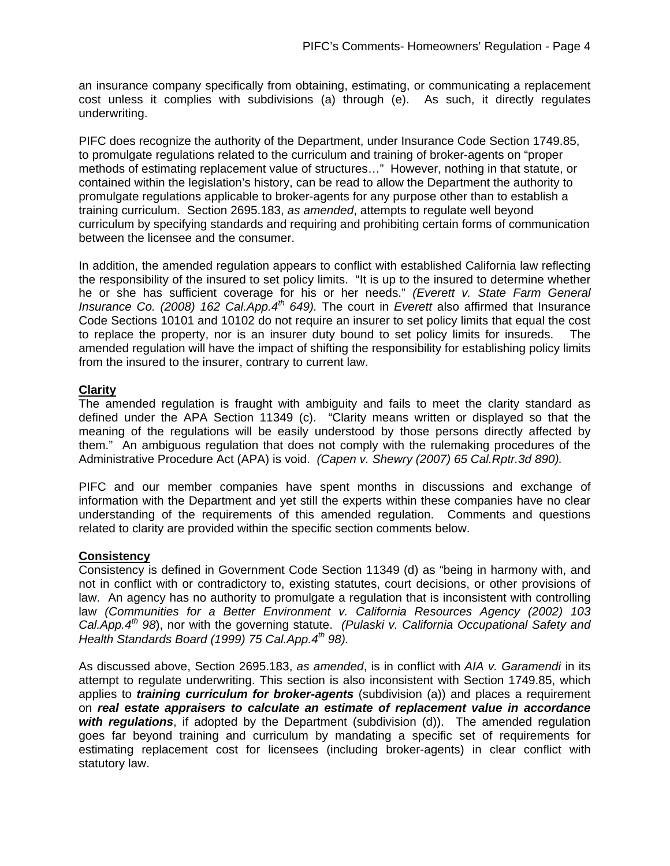an insurance company specifically from obtaining, estimating, or communicating a replacement cost unless it complies with subdivisions (a) through (e). As such, it directly regulates underwriting.

PIFC does recognize the authority of the Department, under Insurance Code Section 1749.85, to promulgate regulations related to the curriculum and training of broker-agents on "proper methods of estimating replacement value of structures…" However, nothing in that statute, or contained within the legislation's history, can be read to allow the Department the authority to promulgate regulations applicable to broker-agents for any purpose other than to establish a training curriculum. Section 2695.183, *as amended*, attempts to regulate well beyond curriculum by specifying standards and requiring and prohibiting certain forms of communication between the licensee and the consumer.

In addition, the amended regulation appears to conflict with established California law reflecting the responsibility of the insured to set policy limits. "It is up to the insured to determine whether he or she has sufficient coverage for his or her needs." *(Everett v. State Farm General Insurance Co. (2008) 162 Cal.App.4th 649).* The court in *Everett* also affirmed that Insurance Code Sections 10101 and 10102 do not require an insurer to set policy limits that equal the cost to replace the property, nor is an insurer duty bound to set policy limits for insureds. The amended regulation will have the impact of shifting the responsibility for establishing policy limits from the insured to the insurer, contrary to current law.

# **Clarity**

The amended regulation is fraught with ambiguity and fails to meet the clarity standard as defined under the APA Section 11349 (c). "Clarity means written or displayed so that the meaning of the regulations will be easily understood by those persons directly affected by them." An ambiguous regulation that does not comply with the rulemaking procedures of the Administrative Procedure Act (APA) is void. *(Capen v. Shewry (2007) 65 Cal.Rptr.3d 890).* 

PIFC and our member companies have spent months in discussions and exchange of information with the Department and yet still the experts within these companies have no clear understanding of the requirements of this amended regulation. Comments and questions related to clarity are provided within the specific section comments below.

### **Consistency**

Consistency is defined in Government Code Section 11349 (d) as "being in harmony with, and not in conflict with or contradictory to, existing statutes, court decisions, or other provisions of law. An agency has no authority to promulgate a regulation that is inconsistent with controlling law *(Communities for a Better Environment v. California Resources Agency (2002) 103 Cal.App.4th 98*), nor with the governing statute. *(Pulaski v. California Occupational Safety and Health Standards Board (1999) 75 Cal.App.4th 98).* 

As discussed above, Section 2695.183, *as amended*, is in conflict with *AIA v. Garamendi* in its attempt to regulate underwriting. This section is also inconsistent with Section 1749.85, which applies to *training curriculum for broker-agents* (subdivision (a)) and places a requirement on *real estate appraisers to calculate an estimate of replacement value in accordance with regulations*, if adopted by the Department (subdivision (d)). The amended regulation goes far beyond training and curriculum by mandating a specific set of requirements for estimating replacement cost for licensees (including broker-agents) in clear conflict with statutory law.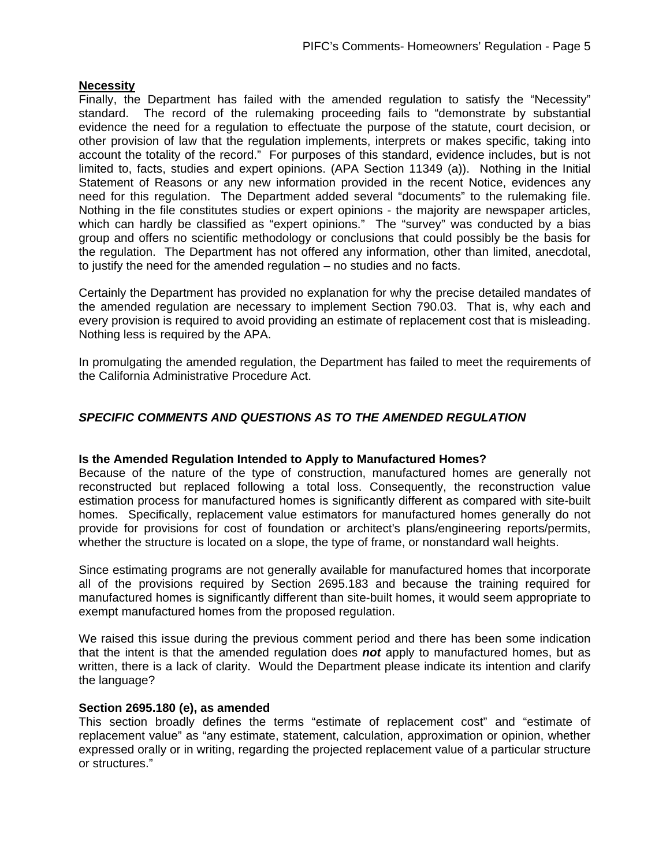### **Necessity**

Finally, the Department has failed with the amended regulation to satisfy the "Necessity" standard. The record of the rulemaking proceeding fails to "demonstrate by substantial evidence the need for a regulation to effectuate the purpose of the statute, court decision, or other provision of law that the regulation implements, interprets or makes specific, taking into account the totality of the record." For purposes of this standard, evidence includes, but is not limited to, facts, studies and expert opinions. (APA Section 11349 (a)). Nothing in the Initial Statement of Reasons or any new information provided in the recent Notice, evidences any need for this regulation. The Department added several "documents" to the rulemaking file. Nothing in the file constitutes studies or expert opinions - the majority are newspaper articles, which can hardly be classified as "expert opinions." The "survey" was conducted by a bias group and offers no scientific methodology or conclusions that could possibly be the basis for the regulation. The Department has not offered any information, other than limited, anecdotal, to justify the need for the amended regulation – no studies and no facts.

Certainly the Department has provided no explanation for why the precise detailed mandates of the amended regulation are necessary to implement Section 790.03. That is, why each and every provision is required to avoid providing an estimate of replacement cost that is misleading. Nothing less is required by the APA.

In promulgating the amended regulation, the Department has failed to meet the requirements of the California Administrative Procedure Act.

# *SPECIFIC COMMENTS AND QUESTIONS AS TO THE AMENDED REGULATION*

### **Is the Amended Regulation Intended to Apply to Manufactured Homes?**

Because of the nature of the type of construction, manufactured homes are generally not reconstructed but replaced following a total loss. Consequently, the reconstruction value estimation process for manufactured homes is significantly different as compared with site-built homes. Specifically, replacement value estimators for manufactured homes generally do not provide for provisions for cost of foundation or architect's plans/engineering reports/permits, whether the structure is located on a slope, the type of frame, or nonstandard wall heights.

Since estimating programs are not generally available for manufactured homes that incorporate all of the provisions required by Section 2695.183 and because the training required for manufactured homes is significantly different than site-built homes, it would seem appropriate to exempt manufactured homes from the proposed regulation.

We raised this issue during the previous comment period and there has been some indication that the intent is that the amended regulation does *not* apply to manufactured homes, but as written, there is a lack of clarity. Would the Department please indicate its intention and clarify the language?

### **Section 2695.180 (e), as amended**

This section broadly defines the terms "estimate of replacement cost" and "estimate of replacement value" as "any estimate, statement, calculation, approximation or opinion, whether expressed orally or in writing, regarding the projected replacement value of a particular structure or structures."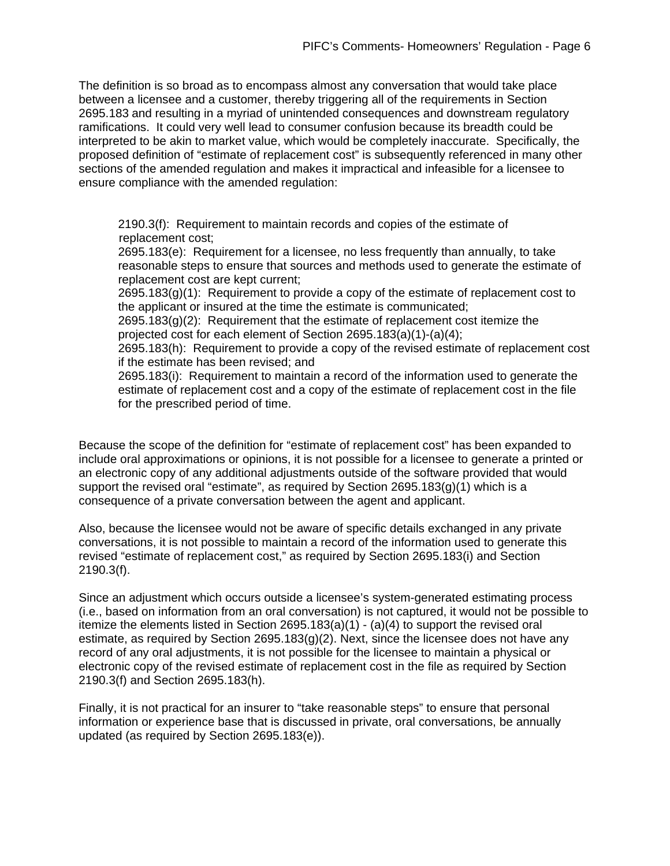The definition is so broad as to encompass almost any conversation that would take place between a licensee and a customer, thereby triggering all of the requirements in Section 2695.183 and resulting in a myriad of unintended consequences and downstream regulatory ramifications. It could very well lead to consumer confusion because its breadth could be interpreted to be akin to market value, which would be completely inaccurate. Specifically, the proposed definition of "estimate of replacement cost" is subsequently referenced in many other sections of the amended regulation and makes it impractical and infeasible for a licensee to ensure compliance with the amended regulation:

 2190.3(f): Requirement to maintain records and copies of the estimate of replacement cost;

2695.183(e): Requirement for a licensee, no less frequently than annually, to take reasonable steps to ensure that sources and methods used to generate the estimate of replacement cost are kept current;

2695.183(g)(1): Requirement to provide a copy of the estimate of replacement cost to the applicant or insured at the time the estimate is communicated;

2695.183(g)(2): Requirement that the estimate of replacement cost itemize the projected cost for each element of Section 2695.183(a)(1)-(a)(4);

2695.183(h): Requirement to provide a copy of the revised estimate of replacement cost if the estimate has been revised; and

2695.183(i): Requirement to maintain a record of the information used to generate the estimate of replacement cost and a copy of the estimate of replacement cost in the file for the prescribed period of time.

Because the scope of the definition for "estimate of replacement cost" has been expanded to include oral approximations or opinions, it is not possible for a licensee to generate a printed or an electronic copy of any additional adjustments outside of the software provided that would support the revised oral "estimate", as required by Section 2695.183(g)(1) which is a consequence of a private conversation between the agent and applicant.

Also, because the licensee would not be aware of specific details exchanged in any private conversations, it is not possible to maintain a record of the information used to generate this revised "estimate of replacement cost," as required by Section 2695.183(i) and Section 2190.3(f).

Since an adjustment which occurs outside a licensee's system-generated estimating process (i.e., based on information from an oral conversation) is not captured, it would not be possible to itemize the elements listed in Section 2695.183(a)(1) - (a)(4) to support the revised oral estimate, as required by Section  $2695.183(q)(2)$ . Next, since the licensee does not have any record of any oral adjustments, it is not possible for the licensee to maintain a physical or electronic copy of the revised estimate of replacement cost in the file as required by Section 2190.3(f) and Section 2695.183(h).

Finally, it is not practical for an insurer to "take reasonable steps" to ensure that personal information or experience base that is discussed in private, oral conversations, be annually updated (as required by Section 2695.183(e)).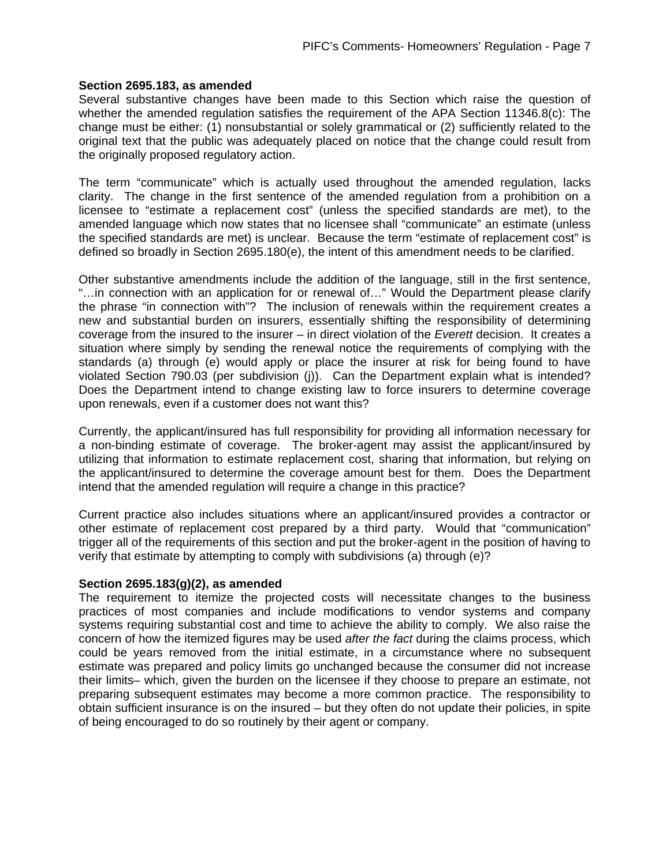#### **Section 2695.183, as amended**

Several substantive changes have been made to this Section which raise the question of whether the amended regulation satisfies the requirement of the APA Section 11346.8(c): The change must be either: (1) nonsubstantial or solely grammatical or (2) sufficiently related to the original text that the public was adequately placed on notice that the change could result from the originally proposed regulatory action.

The term "communicate" which is actually used throughout the amended regulation, lacks clarity. The change in the first sentence of the amended regulation from a prohibition on a licensee to "estimate a replacement cost" (unless the specified standards are met), to the amended language which now states that no licensee shall "communicate" an estimate (unless the specified standards are met) is unclear. Because the term "estimate of replacement cost" is defined so broadly in Section 2695.180(e), the intent of this amendment needs to be clarified.

Other substantive amendments include the addition of the language, still in the first sentence, "…in connection with an application for or renewal of…" Would the Department please clarify the phrase "in connection with"? The inclusion of renewals within the requirement creates a new and substantial burden on insurers, essentially shifting the responsibility of determining coverage from the insured to the insurer – in direct violation of the *Everett* decision. It creates a situation where simply by sending the renewal notice the requirements of complying with the standards (a) through (e) would apply or place the insurer at risk for being found to have violated Section 790.03 (per subdivision (j)). Can the Department explain what is intended? Does the Department intend to change existing law to force insurers to determine coverage upon renewals, even if a customer does not want this?

Currently, the applicant/insured has full responsibility for providing all information necessary for a non-binding estimate of coverage. The broker-agent may assist the applicant/insured by utilizing that information to estimate replacement cost, sharing that information, but relying on the applicant/insured to determine the coverage amount best for them. Does the Department intend that the amended regulation will require a change in this practice?

Current practice also includes situations where an applicant/insured provides a contractor or other estimate of replacement cost prepared by a third party. Would that "communication" trigger all of the requirements of this section and put the broker-agent in the position of having to verify that estimate by attempting to comply with subdivisions (a) through (e)?

### **Section 2695.183(g)(2), as amended**

The requirement to itemize the projected costs will necessitate changes to the business practices of most companies and include modifications to vendor systems and company systems requiring substantial cost and time to achieve the ability to comply. We also raise the concern of how the itemized figures may be used *after the fact* during the claims process, which could be years removed from the initial estimate, in a circumstance where no subsequent estimate was prepared and policy limits go unchanged because the consumer did not increase their limits– which, given the burden on the licensee if they choose to prepare an estimate, not preparing subsequent estimates may become a more common practice. The responsibility to obtain sufficient insurance is on the insured – but they often do not update their policies, in spite of being encouraged to do so routinely by their agent or company.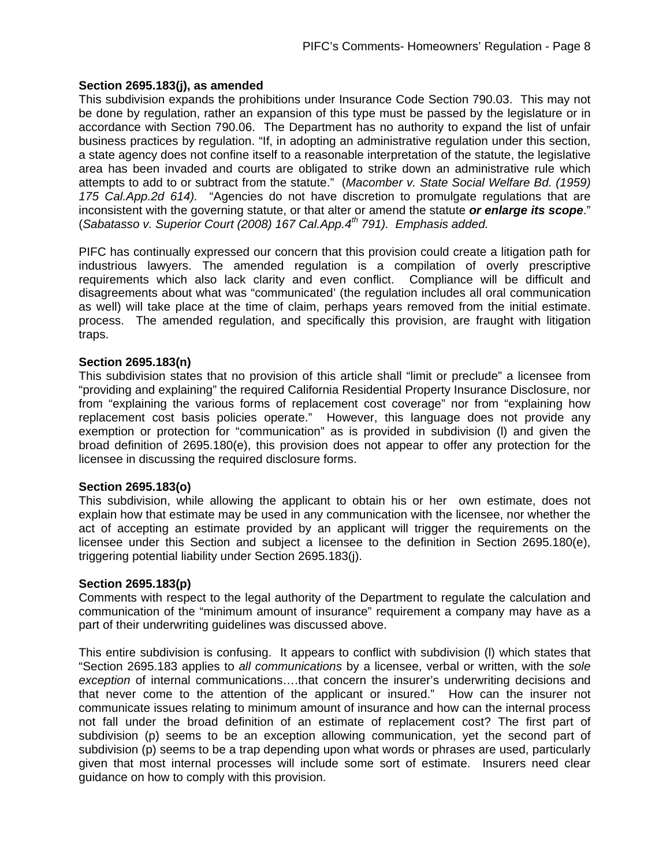### **Section 2695.183(j), as amended**

This subdivision expands the prohibitions under Insurance Code Section 790.03. This may not be done by regulation, rather an expansion of this type must be passed by the legislature or in accordance with Section 790.06. The Department has no authority to expand the list of unfair business practices by regulation. "If, in adopting an administrative regulation under this section, a state agency does not confine itself to a reasonable interpretation of the statute, the legislative area has been invaded and courts are obligated to strike down an administrative rule which attempts to add to or subtract from the statute." (*Macomber v. State Social Welfare Bd. (1959) 175 Cal.App.2d 614).* "Agencies do not have discretion to promulgate regulations that are inconsistent with the governing statute, or that alter or amend the statute *or enlarge its scope*." (*Sabatasso v. Superior Court (2008) 167 Cal.App.4th 791). Emphasis added.* 

PIFC has continually expressed our concern that this provision could create a litigation path for industrious lawyers. The amended regulation is a compilation of overly prescriptive requirements which also lack clarity and even conflict. Compliance will be difficult and disagreements about what was "communicated' (the regulation includes all oral communication as well) will take place at the time of claim, perhaps years removed from the initial estimate. process. The amended regulation, and specifically this provision, are fraught with litigation traps.

### **Section 2695.183(n)**

This subdivision states that no provision of this article shall "limit or preclude" a licensee from "providing and explaining" the required California Residential Property Insurance Disclosure, nor from "explaining the various forms of replacement cost coverage" nor from "explaining how replacement cost basis policies operate." However, this language does not provide any exemption or protection for "communication" as is provided in subdivision (l) and given the broad definition of 2695.180(e), this provision does not appear to offer any protection for the licensee in discussing the required disclosure forms.

# **Section 2695.183(o)**

This subdivision, while allowing the applicant to obtain his or her own estimate, does not explain how that estimate may be used in any communication with the licensee, nor whether the act of accepting an estimate provided by an applicant will trigger the requirements on the licensee under this Section and subject a licensee to the definition in Section 2695.180(e), triggering potential liability under Section 2695.183(j).

### **Section 2695.183(p)**

Comments with respect to the legal authority of the Department to regulate the calculation and communication of the "minimum amount of insurance" requirement a company may have as a part of their underwriting guidelines was discussed above.

This entire subdivision is confusing. It appears to conflict with subdivision (l) which states that "Section 2695.183 applies to *all communications* by a licensee, verbal or written, with the *sole exception* of internal communications….that concern the insurer's underwriting decisions and that never come to the attention of the applicant or insured." How can the insurer not communicate issues relating to minimum amount of insurance and how can the internal process not fall under the broad definition of an estimate of replacement cost? The first part of subdivision (p) seems to be an exception allowing communication, yet the second part of subdivision (p) seems to be a trap depending upon what words or phrases are used, particularly given that most internal processes will include some sort of estimate. Insurers need clear guidance on how to comply with this provision.